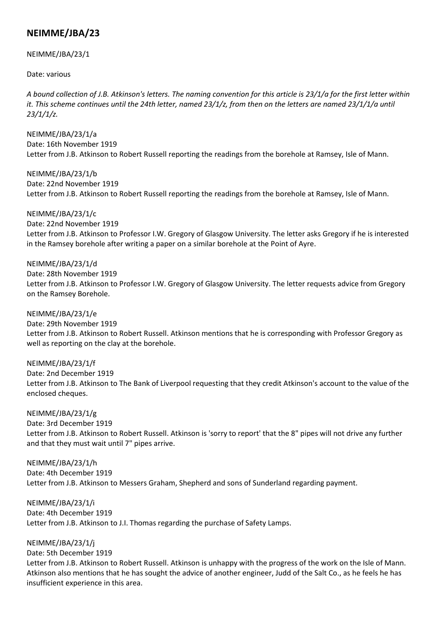## **NEIMME/JBA/23**

## NEIMME/JBA/23/1

Date: various

*A bound collection of J.B. Atkinson's letters. The naming convention for this article is 23/1/a for the first letter within*  it. This scheme continues until the 24th letter, named 23/1/z, from then on the letters are named 23/1/1/a until *23/1/1/z.*

NEIMME/JBA/23/1/a Date: 16th November 1919 Letter from J.B. Atkinson to Robert Russell reporting the readings from the borehole at Ramsey, Isle of Mann.

NEIMME/JBA/23/1/b Date: 22nd November 1919 Letter from J.B. Atkinson to Robert Russell reporting the readings from the borehole at Ramsey, Isle of Mann.

NEIMME/JBA/23/1/c Date: 22nd November 1919 Letter from J.B. Atkinson to Professor I.W. Gregory of Glasgow University. The letter asks Gregory if he is interested in the Ramsey borehole after writing a paper on a similar borehole at the Point of Ayre.

NEIMME/JBA/23/1/d Date: 28th November 1919 Letter from J.B. Atkinson to Professor I.W. Gregory of Glasgow University. The letter requests advice from Gregory on the Ramsey Borehole.

NEIMME/JBA/23/1/e Date: 29th November 1919 Letter from J.B. Atkinson to Robert Russell. Atkinson mentions that he is corresponding with Professor Gregory as well as reporting on the clay at the borehole.

NEIMME/JBA/23/1/f Date: 2nd December 1919 Letter from J.B. Atkinson to The Bank of Liverpool requesting that they credit Atkinson's account to the value of the enclosed cheques.

NEIMME/JBA/23/1/g Date: 3rd December 1919 Letter from J.B. Atkinson to Robert Russell. Atkinson is 'sorry to report' that the 8" pipes will not drive any further and that they must wait until 7" pipes arrive.

NEIMME/JBA/23/1/h Date: 4th December 1919 Letter from J.B. Atkinson to Messers Graham, Shepherd and sons of Sunderland regarding payment.

NEIMME/JBA/23/1/i Date: 4th December 1919 Letter from J.B. Atkinson to J.I. Thomas regarding the purchase of Safety Lamps.

NEIMME/JBA/23/1/j

Date: 5th December 1919 Letter from J.B. Atkinson to Robert Russell. Atkinson is unhappy with the progress of the work on the Isle of Mann. Atkinson also mentions that he has sought the advice of another engineer, Judd of the Salt Co., as he feels he has insufficient experience in this area.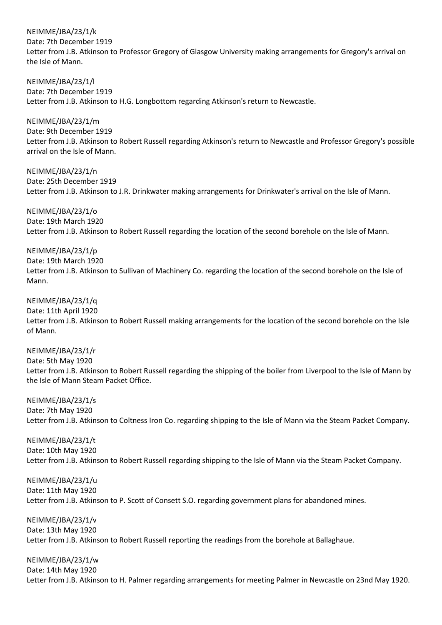NEIMME/JBA/23/1/k

Date: 7th December 1919

Letter from J.B. Atkinson to Professor Gregory of Glasgow University making arrangements for Gregory's arrival on the Isle of Mann.

NEIMME/JBA/23/1/l Date: 7th December 1919 Letter from J.B. Atkinson to H.G. Longbottom regarding Atkinson's return to Newcastle.

NEIMME/JBA/23/1/m Date: 9th December 1919 Letter from J.B. Atkinson to Robert Russell regarding Atkinson's return to Newcastle and Professor Gregory's possible arrival on the Isle of Mann.

NEIMME/JBA/23/1/n Date: 25th December 1919 Letter from J.B. Atkinson to J.R. Drinkwater making arrangements for Drinkwater's arrival on the Isle of Mann.

NEIMME/JBA/23/1/o Date: 19th March 1920 Letter from J.B. Atkinson to Robert Russell regarding the location of the second borehole on the Isle of Mann.

NEIMME/JBA/23/1/p Date: 19th March 1920 Letter from J.B. Atkinson to Sullivan of Machinery Co. regarding the location of the second borehole on the Isle of Mann.

NEIMME/JBA/23/1/q Date: 11th April 1920 Letter from J.B. Atkinson to Robert Russell making arrangements for the location of the second borehole on the Isle of Mann.

NEIMME/JBA/23/1/r Date: 5th May 1920 Letter from J.B. Atkinson to Robert Russell regarding the shipping of the boiler from Liverpool to the Isle of Mann by the Isle of Mann Steam Packet Office.

NEIMME/JBA/23/1/s Date: 7th May 1920 Letter from J.B. Atkinson to Coltness Iron Co. regarding shipping to the Isle of Mann via the Steam Packet Company.

NEIMME/JBA/23/1/t Date: 10th May 1920 Letter from J.B. Atkinson to Robert Russell regarding shipping to the Isle of Mann via the Steam Packet Company.

NEIMME/JBA/23/1/u Date: 11th May 1920 Letter from J.B. Atkinson to P. Scott of Consett S.O. regarding government plans for abandoned mines.

NEIMME/JBA/23/1/v Date: 13th May 1920 Letter from J.B. Atkinson to Robert Russell reporting the readings from the borehole at Ballaghaue.

NEIMME/JBA/23/1/w Date: 14th May 1920 Letter from J.B. Atkinson to H. Palmer regarding arrangements for meeting Palmer in Newcastle on 23nd May 1920.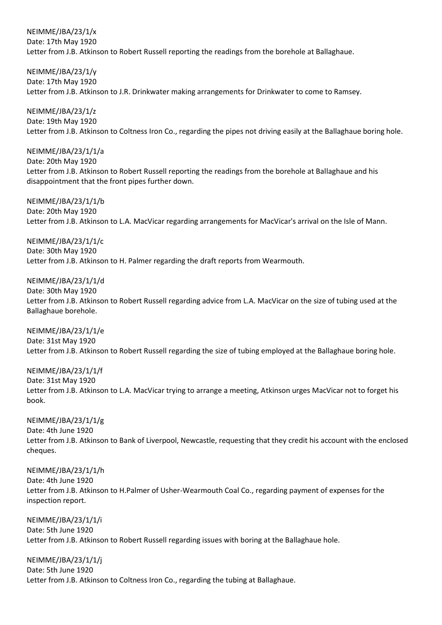NEIMME/JBA/23/1/x Date: 17th May 1920 Letter from J.B. Atkinson to Robert Russell reporting the readings from the borehole at Ballaghaue.

NEIMME/JBA/23/1/y Date: 17th May 1920 Letter from J.B. Atkinson to J.R. Drinkwater making arrangements for Drinkwater to come to Ramsey.

NEIMME/JBA/23/1/z Date: 19th May 1920 Letter from J.B. Atkinson to Coltness Iron Co., regarding the pipes not driving easily at the Ballaghaue boring hole.

NEIMME/JBA/23/1/1/a Date: 20th May 1920 Letter from J.B. Atkinson to Robert Russell reporting the readings from the borehole at Ballaghaue and his disappointment that the front pipes further down.

NEIMME/JBA/23/1/1/b Date: 20th May 1920 Letter from J.B. Atkinson to L.A. MacVicar regarding arrangements for MacVicar's arrival on the Isle of Mann.

NEIMME/JBA/23/1/1/c Date: 30th May 1920 Letter from J.B. Atkinson to H. Palmer regarding the draft reports from Wearmouth.

NEIMME/JBA/23/1/1/d Date: 30th May 1920

Letter from J.B. Atkinson to Robert Russell regarding advice from L.A. MacVicar on the size of tubing used at the Ballaghaue borehole.

NEIMME/JBA/23/1/1/e Date: 31st May 1920 Letter from J.B. Atkinson to Robert Russell regarding the size of tubing employed at the Ballaghaue boring hole.

NEIMME/JBA/23/1/1/f Date: 31st May 1920 Letter from J.B. Atkinson to L.A. MacVicar trying to arrange a meeting, Atkinson urges MacVicar not to forget his book.

NEIMME/JBA/23/1/1/g Date: 4th June 1920 Letter from J.B. Atkinson to Bank of Liverpool, Newcastle, requesting that they credit his account with the enclosed cheques.

NEIMME/JBA/23/1/1/h Date: 4th June 1920 Letter from J.B. Atkinson to H.Palmer of Usher-Wearmouth Coal Co., regarding payment of expenses for the inspection report.

NEIMME/JBA/23/1/1/i Date: 5th June 1920 Letter from J.B. Atkinson to Robert Russell regarding issues with boring at the Ballaghaue hole.

NEIMME/JBA/23/1/1/j Date: 5th June 1920 Letter from J.B. Atkinson to Coltness Iron Co., regarding the tubing at Ballaghaue.